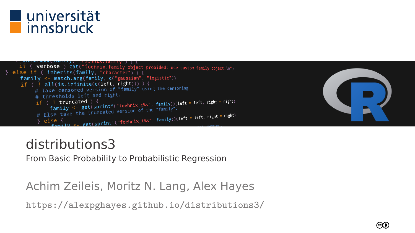

if ( verbose ) cat("foehnix.family object probided: use custom family object.\n") else if ( inherits(family, "character") ) { family <- match.arg(family.c("gaussian", "logistic"))  $if (l all (is. infinite (c (left, right))) )$ E Take censored version of "family" using the censoring # thresholds left and right. if (! consider the dividend  $\int$  if (! consider the set of the family) (left = left, right = right)<br>if (! truncated ) {<br>family <- get(sprintf("foehnix\_c%s", family".<br># Else take the truncated version of the "family". the truncated version of the range of the sett, right = right)<br>= get(sprintf("foehnix\_t%s", family))(left = left, right = right) else



### distributions3

From Basic Probability to Probabilistic Regression

### Achim Zeileis, Moritz N. Lang, Alex Hayes

<https://alexpghayes.github.io/distributions3/>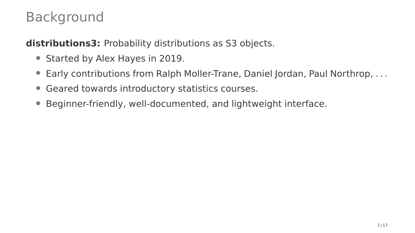### Background

**distributions3:** Probability distributions as S3 objects.

- Started by Alex Hayes in 2019.
- Early contributions from Ralph Moller-Trane, Daniel Jordan, Paul Northrop, . . .
- Geared towards introductory statistics courses.
- Beginner-friendly, well-documented, and lightweight interface.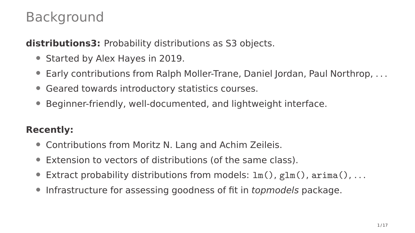### Background

**distributions3:** Probability distributions as S3 objects.

- Started by Alex Hayes in 2019.
- Early contributions from Ralph Moller-Trane, Daniel Jordan, Paul Northrop, . . .
- Geared towards introductory statistics courses.
- Beginner-friendly, well-documented, and lightweight interface.

### **Recently:**

- Contributions from Moritz N. Lang and Achim Zeileis.
- Extension to vectors of distributions (of the same class).
- Extract probability distributions from models:  $lm()$ ,  $glm()$ ,  $arma()$ , ...
- Infrastructure for assessing goodness of fit in *topmodels* package.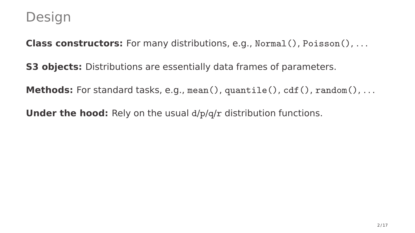**Class constructors:** For many distributions, e.g., Normal(), Poisson(), . . .

**S3 objects:** Distributions are essentially data frames of parameters.

**Methods:** For standard tasks, e.g., mean(), quantile(), cdf(), random(), ...

**Under the hood:** Rely on the usual  $d/p/q/r$  distribution functions.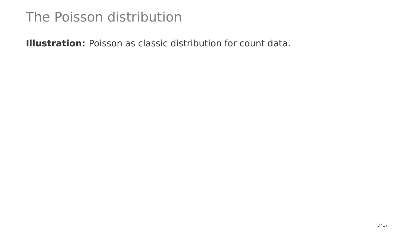**Illustration:** Poisson as classic distribution for count data.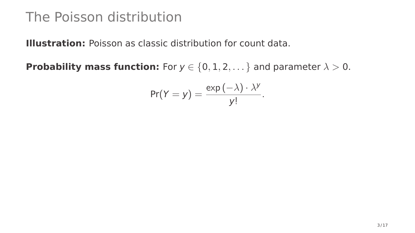**Illustration:** Poisson as classic distribution for count data.

**Probability mass function:** For  $y \in \{0, 1, 2, \dots\}$  and parameter  $\lambda > 0$ .

$$
Pr(Y = y) = \frac{\exp(-\lambda) \cdot \lambda^{y}}{y!}.
$$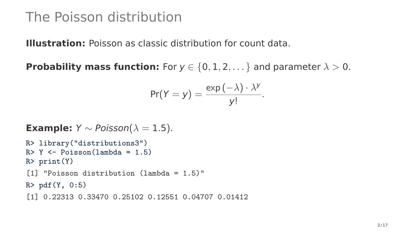**Illustration:** Poisson as classic distribution for count data.

**Probability mass function:** For  $y \in \{0, 1, 2, \ldots\}$  and parameter  $\lambda > 0$ .

$$
Pr(Y = y) = \frac{exp(-\lambda) \cdot \lambda^{y}}{y!}.
$$

```
Example: Y \sim Poisson(\lambda = 1.5).
```

```
R> library("distributions3")
R > Y \leftarrow Poisson(lambda = 1.5)R> print(Y)
[1] "Poisson distribution (lambda = 1.5)"
R > pdf(Y, 0:5)[1] 0.22313 0.33470 0.25102 0.12551 0.04707 0.01412
```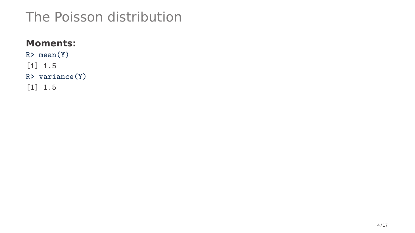### **Moments:**

R> mean(Y) [1] 1.5 R> variance(Y) [1] 1.5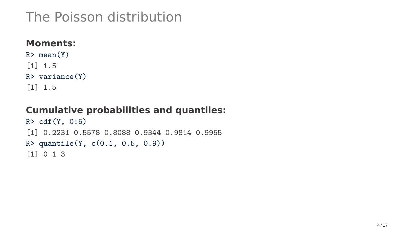### **Moments:**

 $R > mean(Y)$ [1] 1.5 R> variance(Y) [1] 1.5

### **Cumulative probabilities and quantiles:**

```
R> cdf(Y, 0:5)
[1] 0.2231 0.5578 0.8088 0.9344 0.9814 0.9955
R> quantile(Y, c(0.1, 0.5, 0.9))
[1] 0 1 3
```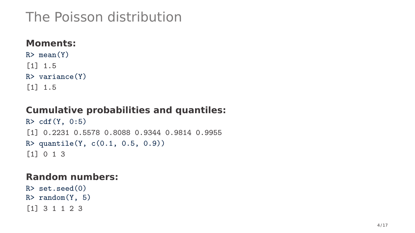### **Moments:**

 $R > mean(Y)$ [1] 1.5 R> variance(Y) [1] 1.5

### **Cumulative probabilities and quantiles:**

R> cdf(Y, 0:5) [1] 0.2231 0.5578 0.8088 0.9344 0.9814 0.9955 R> quantile(Y, c(0.1, 0.5, 0.9)) [1] 0 1 3

#### **Random numbers:**

R> set.seed(0)  $R >$  random $(Y, 5)$ [1] 3 1 1 2 3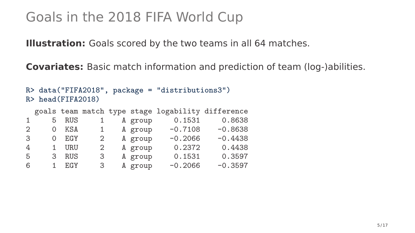**Illustration:** Goals scored by the two teams in all 64 matches.

**Covariates:** Basic match information and prediction of team (log-)abilities.

```
R> data("FIFA2018", package = "distributions3")
R> head(FIFA2018)
 goals team match type stage logability difference
1 5 RUS 1 A group 0.1531 0.8638
2 0 KSA 1 A group -0.7108 -0.8638
3 0 EGY 2 A group -0.2066 -0.4438
4 1 URU 2 A group 0.2372 0.4438
5 3 RUS 3 A group 0.1531 0.3597
    6 1 EGY 3 A group -0.2066 -0.3597
```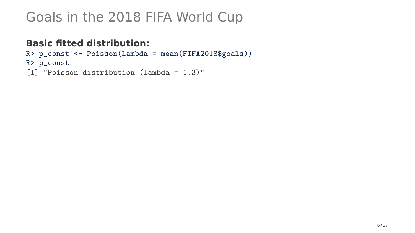### **Basic fitted distribution:**

```
R> p_const <- Poisson(lambda = mean(FIFA2018$goals))
R> p_const
[1] "Poisson distribution (lambda = 1.3)"
```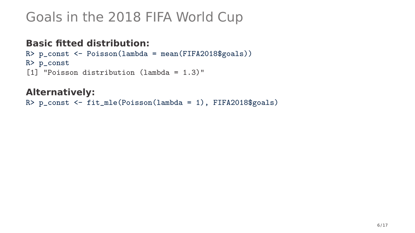### **Basic fitted distribution:**

```
R> p_const <- Poisson(lambda = mean(FIFA2018$goals))
R> p_const
[1] "Poisson distribution (lambda = 1.3)"
```
#### **Alternatively:**

```
R> p_const <- fit_mle(Poisson(lambda = 1), FIFA2018$goals)
```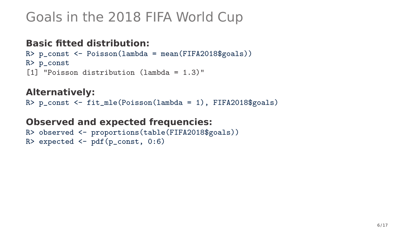### **Basic fitted distribution:**

```
R> p_const <- Poisson(lambda = mean(FIFA2018$goals))
R> p_const
[1] "Poisson distribution (lambda = 1.3)"
```
#### **Alternatively:**

R> p\_const <- fit\_mle(Poisson(lambda = 1), FIFA2018\$goals)

**Observed and expected frequencies:**

```
R> observed <- proportions(table(FIFA2018$goals))
R> expected \leq pdf(p_const, 0:6)
```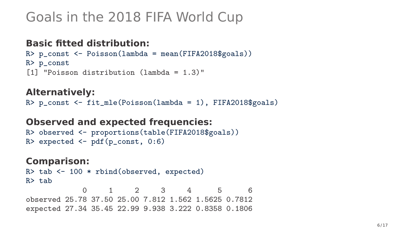### **Basic fitted distribution:**

```
R> p_const <- Poisson(lambda = mean(FIFA2018$goals))
R> p_const
[1] "Poisson distribution (lambda = 1.3)"
```
#### **Alternatively:**

R> p\_const <- fit\_mle(Poisson(lambda = 1), FIFA2018\$goals)

#### **Observed and expected frequencies:**

```
R> observed <- proportions(table(FIFA2018$goals))
R> expected \leq pdf(p_const, 0:6)
```
#### **Comparison:**

```
R> tab <- 100 * rbind(observed, expected)
R> tab
```
0 1 2 3 4 5 6 observed 25.78 37.50 25.00 7.812 1.562 1.5625 0.7812 expected 27.34 35.45 22.99 9.938 3.222 0.8358 0.1806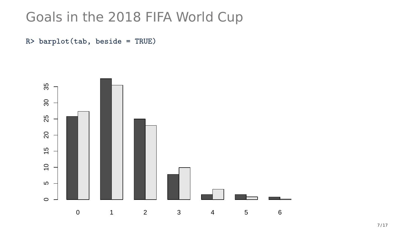R> barplot(tab, beside = TRUE)

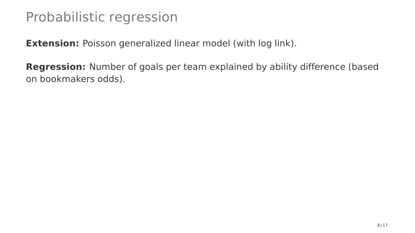**Extension:** Poisson generalized linear model (with log link).

**Regression:** Number of goals per team explained by ability difference (based on bookmakers odds).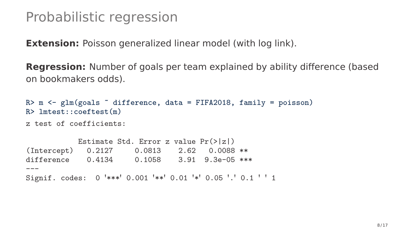**Extension:** Poisson generalized linear model (with log link).

**Regression:** Number of goals per team explained by ability difference (based on bookmakers odds).

```
R> m <- glm(goals \tilde{}} difference, data = FIFA2018, family = poisson)
R> lmtest::coeftest(m)
z test of coefficients:
           Estimate Std. Error z value Pr(>|z|)
(Intercept) 0.2127 0.0813 2.62 0.0088 **
difference 0.4134 0.1058 3.91 9.3e-05 ***
---
Signif. codes: 0 '***' 0.001 '**' 0.01 '*' 0.05 '.' 0.1 ' ' 1
```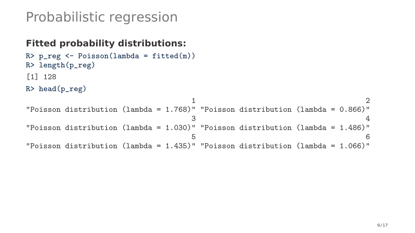### **Fitted probability distributions:**

```
R> p_reg <- Poisson(lambda = fitted(m))
R> length(p_reg)
[1] 128
R> head(p_reg)
                              1 2
"Poisson distribution (lambda = 1.768)" "Poisson distribution (lambda = 0.866)"
                              3 \overline{4}"Poisson distribution (lambda = 1.030)" "Poisson distribution (lambda = 1.486)"
                              5<sub>6</sub>"Poisson distribution (lambda = 1.435)" "Poisson distribution (lambda = 1.066)"
```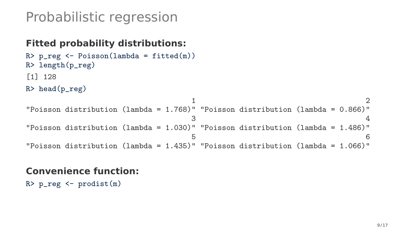### **Fitted probability distributions:**

```
R> p_reg <- Poisson(lambda = fitted(m))
R> length(p_reg)
[1] 128
R> head(p_reg)
```

```
1 2
"Poisson distribution (lambda = 1.768)" "Poisson distribution (lambda = 0.866)"
                            3 \overline{4}"Poisson distribution (lambda = 1.030)" "Poisson distribution (lambda = 1.486)"
                            5<sub>6</sub>"Poisson distribution (lambda = 1.435)" "Poisson distribution (lambda = 1.066)"
```
#### **Convenience function:**

 $R$ > p\_reg  $\leftarrow$  prodist $(m)$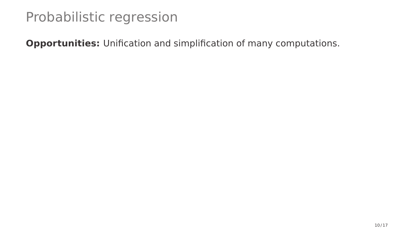**Opportunities:** Unification and simplification of many computations.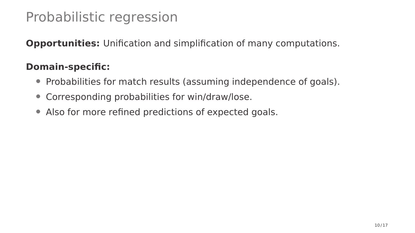**Opportunities:** Unification and simplification of many computations.

### **Domain-specific:**

- Probabilities for match results (assuming independence of goals).
- Corresponding probabilities for win/draw/lose.
- Also for more refined predictions of expected goals.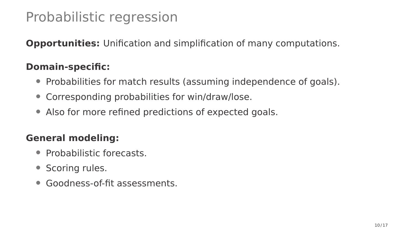**Opportunities:** Unification and simplification of many computations.

### **Domain-specific:**

- Probabilities for match results (assuming independence of goals).
- Corresponding probabilities for win/draw/lose.
- Also for more refined predictions of expected goals.

### **General modeling:**

- Probabilistic forecasts.
- Scoring rules.
- Goodness-of-fit assessments.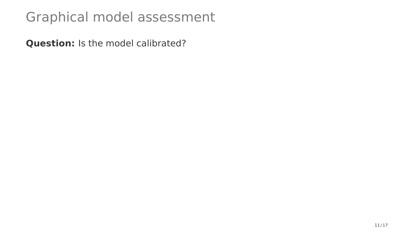**Question:** Is the model calibrated?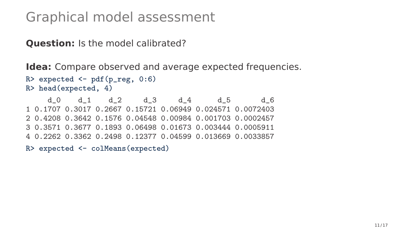**Question:** Is the model calibrated?

**Idea:** Compare observed and average expected frequencies.

```
R> expected \leq pdf(p_reg, 0:6)
R> head(expected, 4)
```
d\_0 d\_1 d\_2 d\_3 d\_4 d\_5 d\_6 1 0.1707 0.3017 0.2667 0.15721 0.06949 0.024571 0.0072403 2 0.4208 0.3642 0.1576 0.04548 0.00984 0.001703 0.0002457 3 0.3571 0.3677 0.1893 0.06498 0.01673 0.003444 0.0005911 4 0.2262 0.3362 0.2498 0.12377 0.04599 0.013669 0.0033857

R> expected <- colMeans(expected)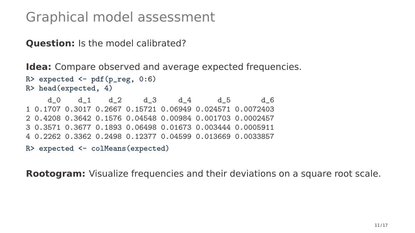**Question:** Is the model calibrated?

**Idea:** Compare observed and average expected frequencies.

```
R> expected \leq pdf(p_reg, 0:6)
R> head(expected, 4)
```
d\_0 d\_1 d\_2 d\_3 d\_4 d\_5 d\_6 1 0.1707 0.3017 0.2667 0.15721 0.06949 0.024571 0.0072403 2 0.4208 0.3642 0.1576 0.04548 0.00984 0.001703 0.0002457 3 0.3571 0.3677 0.1893 0.06498 0.01673 0.003444 0.0005911 4 0.2262 0.3362 0.2498 0.12377 0.04599 0.013669 0.0033857

```
R> expected <- colMeans(expected)
```
**Rootogram:** Visualize frequencies and their deviations on a square root scale.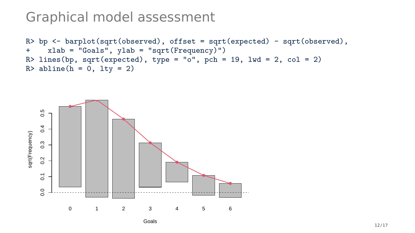```
R> bp <- barplot(sqrt(observed), offset = sqrt(expected) - sqrt(observed), + vlab = "Goals", vlab = "sqrt(Frequency)")
      xlab = "Goals", vlab = "sort(Frequency)")R> lines(bp, sqrt(expected), type = "o", pch = 19, lwd = 2, col = 2)
R > abline(h = 0, lty = 2)
```


Goals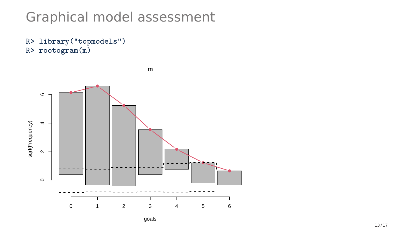R> library("topmodels") R> rootogram(m)

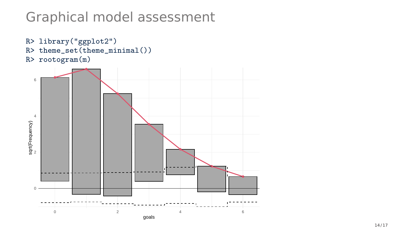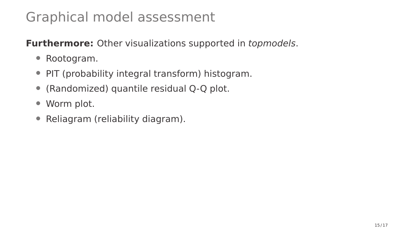**Furthermore:** Other visualizations supported in topmodels.

- Rootogram.
- PIT (probability integral transform) histogram.
- (Randomized) quantile residual Q-Q plot.
- Worm plot.
- Reliagram (reliability diagram).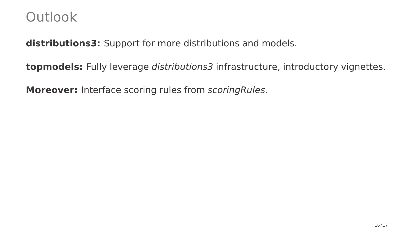### **Outlook**

**distributions3:** Support for more distributions and models.

**topmodels:** Fully leverage distributions3 infrastructure, introductory vignettes.

**Moreover:** Interface scoring rules from scoringRules.